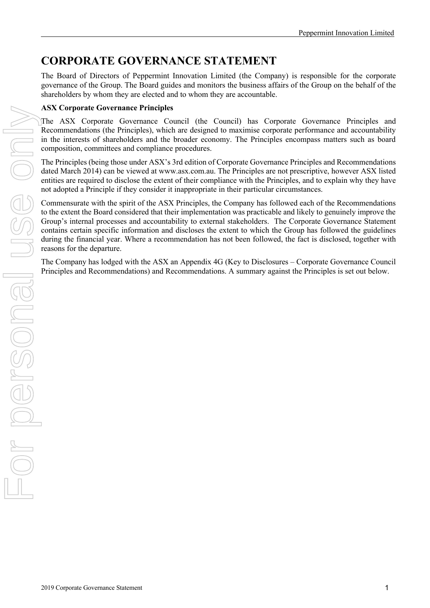## **CORPORATE GOVERNANCE STATEMENT**

The Board of Directors of Peppermint Innovation Limited (the Company) is responsible for the corporate governance of the Group. The Board guides and monitors the business affairs of the Group on the behalf of the shareholders by whom they are elected and to whom they are accountable.

## **ASX Corporate Governance Principles**

The ASX Corporate Governance Council (the Council) has Corporate Governance Principles and Recommendations (the Principles), which are designed to maximise corporate performance and accountability in the interests of shareholders and the broader economy. The Principles encompass matters such as board composition, committees and compliance procedures.

The Principles (being those under ASX's 3rd edition of Corporate Governance Principles and Recommendations dated March 2014) can be viewed at www.asx.com.au. The Principles are not prescriptive, however ASX listed entities are required to disclose the extent of their compliance with the Principles, and to explain why they have not adopted a Principle if they consider it inappropriate in their particular circumstances.

Commensurate with the spirit of the ASX Principles, the Company has followed each of the Recommendations to the extent the Board considered that their implementation was practicable and likely to genuinely improve the Group's internal processes and accountability to external stakeholders. The Corporate Governance Statement contains certain specific information and discloses the extent to which the Group has followed the guidelines during the financial year. Where a recommendation has not been followed, the fact is disclosed, together with reasons for the departure. The ASX corporate Governmentations) and Recommendations) and Recommendations (the Principles and Recommendations) and Recommendations (the Principles is which are designed to maximize compute performance and accountability

The Company has lodged with the ASX an Appendix 4G (Key to Disclosures – Corporate Governance Council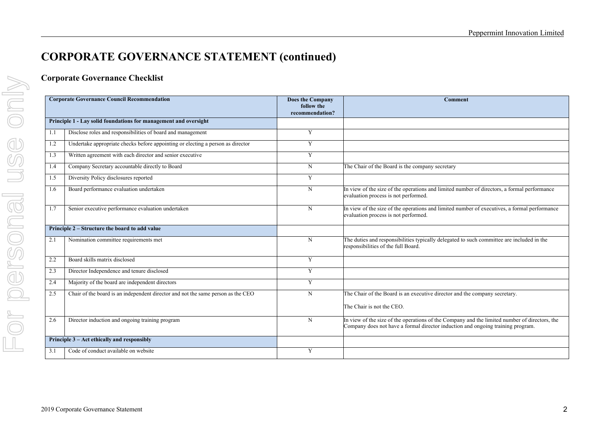## **Corporate Governance Checklist**

| <b>Corporate Governance Council Recommendation</b>               |                                                                                  | Does the Company<br>follow the<br>recommendation? | <b>Comment</b>                                                                                                                                                                   |  |
|------------------------------------------------------------------|----------------------------------------------------------------------------------|---------------------------------------------------|----------------------------------------------------------------------------------------------------------------------------------------------------------------------------------|--|
| Principle 1 - Lay solid foundations for management and oversight |                                                                                  |                                                   |                                                                                                                                                                                  |  |
| 1.1                                                              | Disclose roles and responsibilities of board and management                      | Y                                                 |                                                                                                                                                                                  |  |
| 1.2                                                              | Undertake appropriate checks before appointing or electing a person as director  | Y                                                 |                                                                                                                                                                                  |  |
| 1.3                                                              | Written agreement with each director and senior executive                        | Y                                                 |                                                                                                                                                                                  |  |
| 1.4                                                              | Company Secretary accountable directly to Board                                  | N                                                 | The Chair of the Board is the company secretary                                                                                                                                  |  |
| 1.5                                                              | Diversity Policy disclosures reported                                            | Y                                                 |                                                                                                                                                                                  |  |
| 1.6                                                              | Board performance evaluation undertaken                                          | N                                                 | In view of the size of the operations and limited number of directors, a formal performance<br>evaluation process is not performed.                                              |  |
| 1.7                                                              | Senior executive performance evaluation undertaken                               | N                                                 | In view of the size of the operations and limited number of executives, a formal performance<br>evaluation process is not performed.                                             |  |
| Principle 2 – Structure the board to add value                   |                                                                                  |                                                   |                                                                                                                                                                                  |  |
| 2.1                                                              | Nomination committee requirements met                                            | N                                                 | The duties and responsibilities typically delegated to such committee are included in the<br>responsibilities of the full Board.                                                 |  |
| 2.2                                                              | Board skills matrix disclosed                                                    | Y                                                 |                                                                                                                                                                                  |  |
| 2.3                                                              | Director Independence and tenure disclosed                                       | Y                                                 |                                                                                                                                                                                  |  |
| 2.4                                                              | Majority of the board are independent directors                                  | Y                                                 |                                                                                                                                                                                  |  |
| 2.5                                                              | Chair of the board is an independent director and not the same person as the CEO | N                                                 | The Chair of the Board is an executive director and the company secretary.                                                                                                       |  |
|                                                                  |                                                                                  |                                                   | The Chair is not the CEO.                                                                                                                                                        |  |
| 2.6                                                              | Director induction and ongoing training program                                  | N                                                 | In view of the size of the operations of the Company and the limited number of directors, the<br>Company does not have a formal director induction and ongoing training program. |  |
| Principle 3 – Act ethically and responsibly                      |                                                                                  |                                                   |                                                                                                                                                                                  |  |
| 3.1                                                              | Code of conduct available on website                                             | Y                                                 |                                                                                                                                                                                  |  |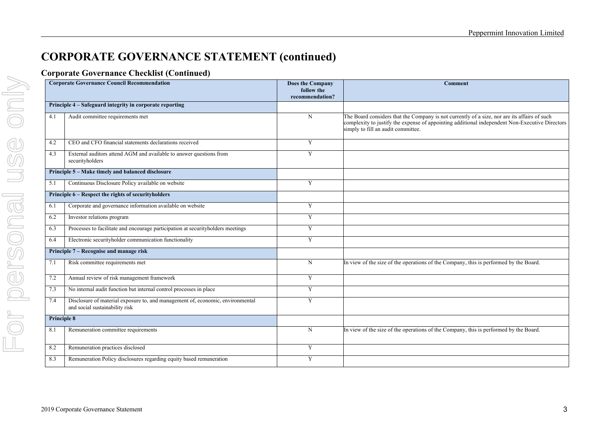## **Corporate Governance Checklist (Continued)**

| <b>Corporate Governance Council Recommendation</b> |                                                                                                                  | Does the Company<br>follow the<br>recommendation? | Comment                                                                                                                                                                                                                              |
|----------------------------------------------------|------------------------------------------------------------------------------------------------------------------|---------------------------------------------------|--------------------------------------------------------------------------------------------------------------------------------------------------------------------------------------------------------------------------------------|
|                                                    | Principle 4 – Safeguard integrity in corporate reporting                                                         |                                                   |                                                                                                                                                                                                                                      |
| 4.1                                                | Audit committee requirements met                                                                                 | $\mathbf N$                                       | The Board considers that the Company is not currently of a size, nor are its affairs of such<br>complexity to justify the expense of appointing additional independent Non-Executive Directors<br>simply to fill an audit committee. |
| 4.2                                                | CEO and CFO financial statements declarations received                                                           | Y                                                 |                                                                                                                                                                                                                                      |
| 4.3                                                | External auditors attend AGM and available to answer questions from<br>securityholders                           | Y                                                 |                                                                                                                                                                                                                                      |
|                                                    | Principle 5 - Make timely and balanced disclosure                                                                |                                                   |                                                                                                                                                                                                                                      |
| 5.1                                                | Continuous Disclosure Policy available on website                                                                | Y                                                 |                                                                                                                                                                                                                                      |
|                                                    | Principle 6 - Respect the rights of securityholders                                                              |                                                   |                                                                                                                                                                                                                                      |
| 6.1                                                | Corporate and governance information available on website                                                        | Y                                                 |                                                                                                                                                                                                                                      |
| 6.2                                                | Investor relations program                                                                                       | Y                                                 |                                                                                                                                                                                                                                      |
| 6.3                                                | Processes to facilitate and encourage participation at securityholders meetings                                  | Y                                                 |                                                                                                                                                                                                                                      |
| 6.4                                                | Electronic securityholder communication functionality                                                            | Y                                                 |                                                                                                                                                                                                                                      |
|                                                    | Principle 7 – Recognise and manage risk                                                                          |                                                   |                                                                                                                                                                                                                                      |
| 7.1                                                | Risk committee requirements met                                                                                  | N                                                 | In view of the size of the operations of the Company, this is performed by the Board.                                                                                                                                                |
| 7.2                                                | Annual review of risk management framework                                                                       | Y                                                 |                                                                                                                                                                                                                                      |
| 7.3                                                | No internal audit function but internal control processes in place                                               | Y                                                 |                                                                                                                                                                                                                                      |
| 7.4                                                | Disclosure of material exposure to, and management of, economic, environmental<br>and social sustainability risk | Y                                                 |                                                                                                                                                                                                                                      |
| <b>Principle 8</b>                                 |                                                                                                                  |                                                   |                                                                                                                                                                                                                                      |
| 8.1                                                | Remuneration committee requirements                                                                              | N                                                 | In view of the size of the operations of the Company, this is performed by the Board.                                                                                                                                                |
| 8.2                                                | Remuneration practices disclosed                                                                                 | Y                                                 |                                                                                                                                                                                                                                      |
| 8.3                                                | Remuneration Policy disclosures regarding equity based remuneration                                              | Y                                                 |                                                                                                                                                                                                                                      |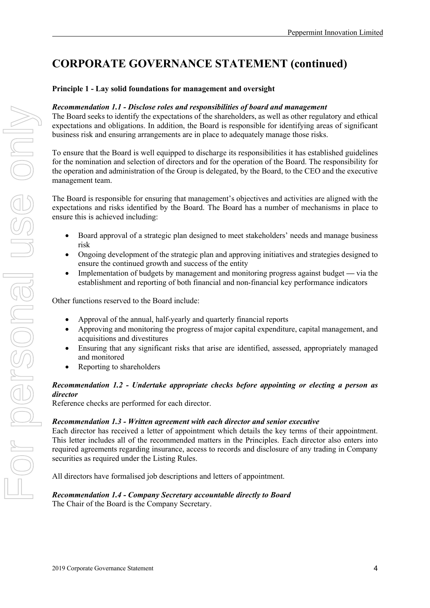## **Principle 1 - Lay solid foundations for management and oversight**

#### *Recommendation 1.1 - Disclose roles and responsibilities of board and management*

The Board seeks to identify the expectations of the shareholders, as well as other regulatory and ethical expectations and obligations. In addition, the Board is responsible for identifying areas of significant business risk and ensuring arrangements are in place to adequately manage those risks.

To ensure that the Board is well equipped to discharge its responsibilities it has established guidelines for the nomination and selection of directors and for the operation of the Board. The responsibility for the operation and administration of the Group is delegated, by the Board, to the CEO and the executive management team.

The Board is responsible for ensuring that management's objectives and activities are aligned with the expectations and risks identified by the Board. The Board has a number of mechanisms in place to ensure this is achieved including:

- Board approval of a strategic plan designed to meet stakeholders' needs and manage business risk
- Ongoing development of the strategic plan and approving initiatives and strategies designed to ensure the continued growth and success of the entity
- Implementation of budgets by management and monitoring progress against budget **—** via the establishment and reporting of both financial and non-financial key performance indicators

Other functions reserved to the Board include:

- Approval of the annual, half-yearly and quarterly financial reports
- Approving and monitoring the progress of major capital expenditure, capital management, and acquisitions and divestitures
- Ensuring that any significant risks that arise are identified, assessed, appropriately managed and monitored
- Reporting to shareholders

## *Recommendation 1.2 - Undertake appropriate checks before appointing or electing a person as director*

Reference checks are performed for each director.

#### *Recommendation 1.3 - Written agreement with each director and senior executive*

Each director has received a letter of appointment which details the key terms of their appointment. This letter includes all of the recommended matters in the Principles. Each director also enters into required agreements regarding insurance, access to records and disclosure of any trading in Company securities as required under the Listing Rules.

All directors have formalised job descriptions and letters of appointment.

#### *Recommendation 1.4 - Company Secretary accountable directly to Board* The Chair of the Board is the Company Secretary.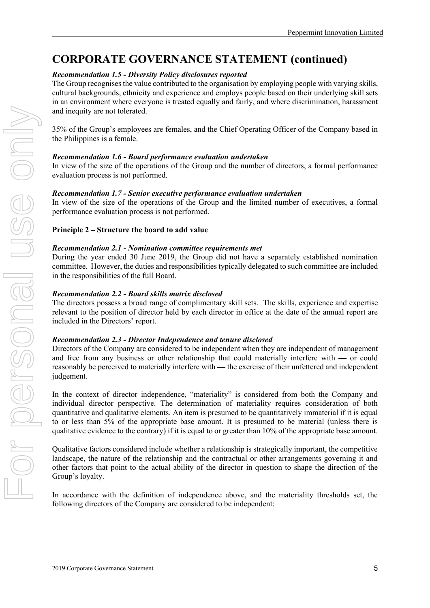## *Recommendation 1.5 - Diversity Policy disclosures reported*

The Group recognises the value contributed to the organisation by employing people with varying skills, cultural backgrounds, ethnicity and experience and employs people based on their underlying skill sets in an environment where everyone is treated equally and fairly, and where discrimination, harassment and inequity are not tolerated.

35% of the Group's employees are females, and the Chief Operating Officer of the Company based in the Philippines is a female.

## *Recommendation 1.6 - Board performance evaluation undertaken*

In view of the size of the operations of the Group and the number of directors, a formal performance evaluation process is not performed.

## *Recommendation 1.7 - Senior executive performance evaluation undertaken*

In view of the size of the operations of the Group and the limited number of executives, a formal performance evaluation process is not performed.

## **Principle 2 – Structure the board to add value**

### *Recommendation 2.1 - Nomination committee requirements met*

During the year ended 30 June 2019, the Group did not have a separately established nomination committee. However, the duties and responsibilities typically delegated to such committee are included in the responsibilities of the full Board.

## *Recommendation 2.2 - Board skills matrix disclosed*

The directors possess a broad range of complimentary skill sets. The skills, experience and expertise relevant to the position of director held by each director in office at the date of the annual report are included in the Directors' report.

## *Recommendation 2.3 - Director Independence and tenure disclosed*

Directors of the Company are considered to be independent when they are independent of management and free from any business or other relationship that could materially interfere with **—** or could reasonably be perceived to materially interfere with **—** the exercise of their unfettered and independent judgement*.* 

In the context of director independence, "materiality" is considered from both the Company and individual director perspective. The determination of materiality requires consideration of both quantitative and qualitative elements. An item is presumed to be quantitatively immaterial if it is equal to or less than 5% of the appropriate base amount. It is presumed to be material (unless there is qualitative evidence to the contrary) if it is equal to or greater than 10% of the appropriate base amount.

Qualitative factors considered include whether a relationship is strategically important, the competitive landscape, the nature of the relationship and the contractual or other arrangements governing it and other factors that point to the actual ability of the director in question to shape the direction of the Group's loyalty.

In accordance with the definition of independence above, and the materiality thresholds set, the following directors of the Company are considered to be independent: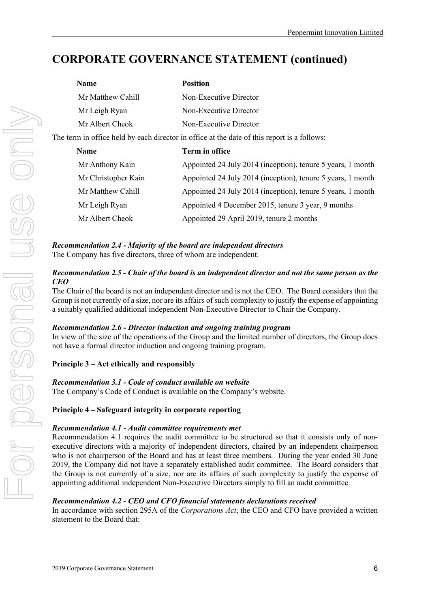| <b>Name</b>                                                                                 | <b>Position</b>                                             |  |  |
|---------------------------------------------------------------------------------------------|-------------------------------------------------------------|--|--|
| Mr Matthew Cahill                                                                           | Non-Executive Director                                      |  |  |
| Mr Leigh Ryan                                                                               | Non-Executive Director                                      |  |  |
| Mr Albert Cheok                                                                             | Non-Executive Director                                      |  |  |
| The term in office held by each director in office at the date of this report is a follows: |                                                             |  |  |
| <b>Name</b>                                                                                 | Term in office                                              |  |  |
| Mr Anthony Kain                                                                             | Appointed 24 July 2014 (inception), tenure 5 years, 1 month |  |  |
| Mr Christopher Kain                                                                         | Appointed 24 July 2014 (inception), tenure 5 years, 1 month |  |  |
| Mr Matthew Cahill                                                                           | Appointed 24 July 2014 (inception), tenure 5 years, 1 month |  |  |
| Mr Leigh Ryan                                                                               | Appointed 4 December 2015, tenure 3 year, 9 months          |  |  |
| Mr Albert Cheok                                                                             | Appointed 29 April 2019, tenure 2 months                    |  |  |

#### *Recommendation 2.4 - Majority of the board are independent directors* The Company has five directors, three of whom are independent.

### *Recommendation 2.5 - Chair of the board is an independent director and not the same person as the CEO*

The Chair of the board is not an independent director and is not the CEO. The Board considers that the Group is not currently of a size, nor are its affairs of such complexity to justify the expense of appointing a suitably qualified additional independent Non-Executive Director to Chair the Company.

## *Recommendation 2.6 - Director induction and ongoing training program*

In view of the size of the operations of the Group and the limited number of directors, the Group does not have a formal director induction and ongoing training program.

## **Principle 3 – Act ethically and responsibly**

## *Recommendation 3.1 - Code of conduct available on website*

The Company's Code of Conduct is available on the Company's website.

## **Principle 4 – Safeguard integrity in corporate reporting**

## *Recommendation 4.1 - Audit committee requirements met*

Recommendation 4.1 requires the audit committee to be structured so that it consists only of nonexecutive directors with a majority of independent directors, chaired by an independent chairperson who is not chairperson of the Board and has at least three members. During the year ended 30 June 2019, the Company did not have a separately established audit committee. The Board considers that the Group is not currently of a size, nor are its affairs of such complexity to justify the expense of appointing additional independent Non-Executive Directors simply to fill an audit committee.

## *Recommendation 4.2 - CEO and CFO financial statements declarations received*

In accordance with section 295A of the *Corporations Act*, the CEO and CFO have provided a written statement to the Board that: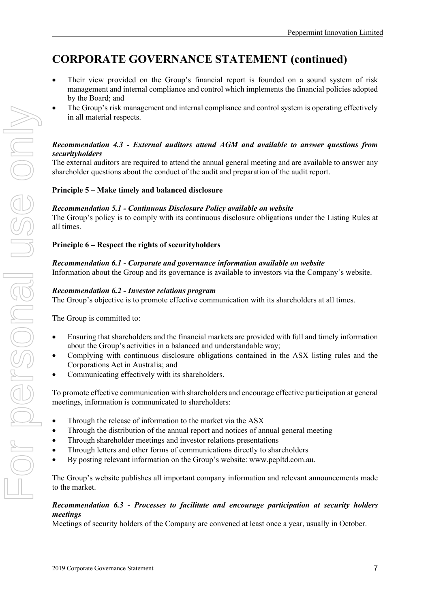- Their view provided on the Group's financial report is founded on a sound system of risk management and internal compliance and control which implements the financial policies adopted by the Board; and
- The Group's risk management and internal compliance and control system is operating effectively in all material respects.

## *Recommendation 4.3 - External auditors attend AGM and available to answer questions from securityholders*

The external auditors are required to attend the annual general meeting and are available to answer any shareholder questions about the conduct of the audit and preparation of the audit report.

## **Principle 5 – Make timely and balanced disclosure**

#### *Recommendation 5.1 - Continuous Disclosure Policy available on website*

The Group's policy is to comply with its continuous disclosure obligations under the Listing Rules at all times.

### **Principle 6 – Respect the rights of securityholders**

### *Recommendation 6.1 - Corporate and governance information available on website*

Information about the Group and its governance is available to investors via the Company's website.

### *Recommendation 6.2 - Investor relations program*

The Group's objective is to promote effective communication with its shareholders at all times.

The Group is committed to:

- Ensuring that shareholders and the financial markets are provided with full and timely information about the Group's activities in a balanced and understandable way;
- Complying with continuous disclosure obligations contained in the ASX listing rules and the Corporations Act in Australia; and
- Communicating effectively with its shareholders.

To promote effective communication with shareholders and encourage effective participation at general meetings, information is communicated to shareholders:

- Through the release of information to the market via the ASX
- Through the distribution of the annual report and notices of annual general meeting
- Through shareholder meetings and investor relations presentations
- Through letters and other forms of communications directly to shareholders
- By posting relevant information on the Group's website: www.pepltd.com.au.

The Group's website publishes all important company information and relevant announcements made to the market.

### *Recommendation 6.3 - Processes to facilitate and encourage participation at security holders meetings*

Meetings of security holders of the Company are convened at least once a year, usually in October.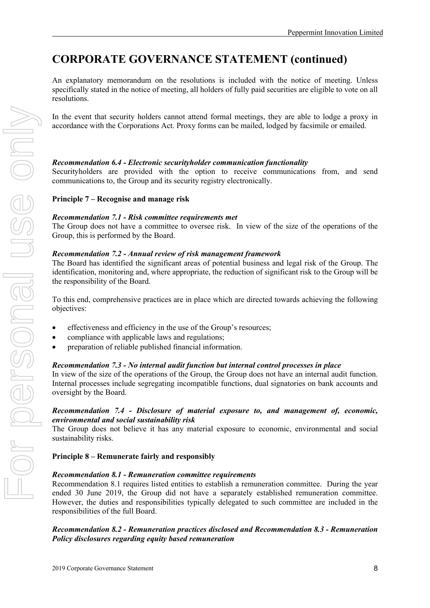An explanatory memorandum on the resolutions is included with the notice of meeting. Unless specifically stated in the notice of meeting, all holders of fully paid securities are eligible to vote on all resolutions.

In the event that security holders cannot attend formal meetings, they are able to lodge a proxy in accordance with the Corporations Act. Proxy forms can be mailed, lodged by facsimile or emailed.

## *Recommendation 6.4 - Electronic securityholder communication functionality*

Securityholders are provided with the option to receive communications from, and send communications to, the Group and its security registry electronically.

## **Principle 7 – Recognise and manage risk**

### *Recommendation 7.1 - Risk committee requirements met*

The Group does not have a committee to oversee risk. In view of the size of the operations of the Group, this is performed by the Board.

### *Recommendation 7.2 - Annual review of risk management framework*

The Board has identified the significant areas of potential business and legal risk of the Group. The identification, monitoring and, where appropriate, the reduction of significant risk to the Group will be the responsibility of the Board.

To this end, comprehensive practices are in place which are directed towards achieving the following objectives:

- effectiveness and efficiency in the use of the Group's resources;
- compliance with applicable laws and regulations;
- preparation of reliable published financial information.

## *Recommendation 7.3 - No internal audit function but internal control processes in place*

In view of the size of the operations of the Group, the Group does not have an internal audit function. Internal processes include segregating incompatible functions, dual signatories on bank accounts and oversight by the Board.

### *Recommendation 7.4 - Disclosure of material exposure to, and management of, economic, environmental and social sustainability risk*

The Group does not believe it has any material exposure to economic, environmental and social sustainability risks.

#### **Principle 8 – Remunerate fairly and responsibly**

#### *Recommendation 8.1 - Remuneration committee requirements*

Recommendation 8.1 requires listed entities to establish a remuneration committee. During the year ended 30 June 2019, the Group did not have a separately established remuneration committee. However, the duties and responsibilities typically delegated to such committee are included in the responsibilities of the full Board.

## *Recommendation 8.2 - Remuneration practices disclosed and Recommendation 8.3 - Remuneration Policy disclosures regarding equity based remuneration*